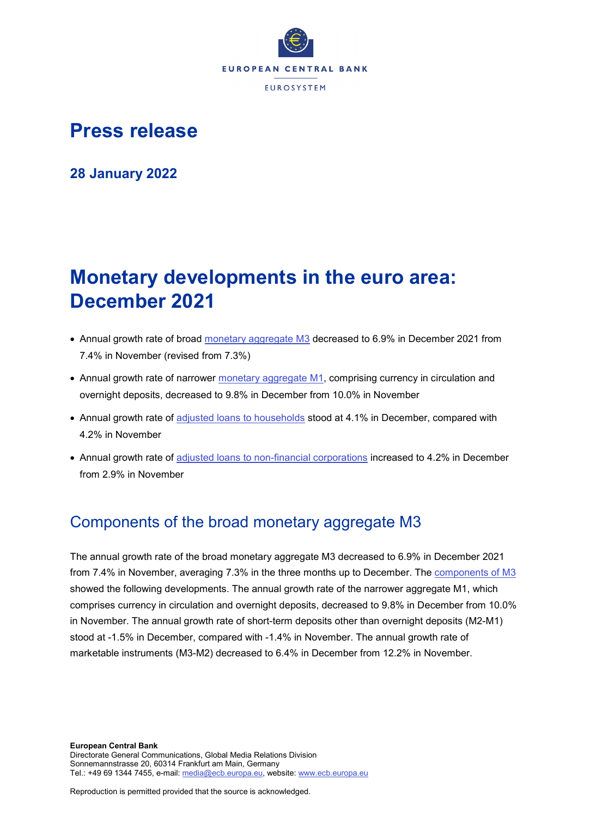

# **Press release**

**28 January 2022**

# **Monetary developments in the euro area: December 2021**

- Annual growth rate of broad [monetary aggregate M3](http://sdw.ecb.europa.eu/browseSelection.do?type=series&q=BSI.M.U2.Y.V.M30.X.I.U2.2300.Z01.A&node=SEARCHRESULTS) decreased to 6.9% in December 2021 from 7.4% in November (revised from 7.3%)
- Annual growth rate of narrower [monetary aggregate M1,](http://sdw.ecb.europa.eu/browseSelection.do?type=series&q=BSI.M.U2.Y.V.M10.X.I.U2.2300.Z01.A&node=SEARCHRESULTS) comprising currency in circulation and overnight deposits, decreased to 9.8% in December from 10.0% in November
- Annual growth rate of [adjusted loans to households](http://sdw.ecb.europa.eu/browseSelection.do?type=series&q=BSI.M.U2.Y.U.A20T.A.I.U2.2250.Z01.A&node=SEARCHRESULTS) stood at 4.1% in December, compared with 4.2% in November
- Annual growth rate of [adjusted loans to non-financial corporations](http://sdw.ecb.europa.eu/browseSelection.do?type=series&q=BSI.M.U2.Y.U.A20T.A.I.U2.2240.Z01.A&node=SEARCHRESULTS) increased to 4.2% in December from 2.9% in November

## Components of the broad monetary aggregate M3

The annual growth rate of the broad monetary aggregate M3 decreased to 6.9% in December 2021 from 7.4% in November, averaging 7.3% in the three months up to December. The [components of M3](http://sdw.ecb.europa.eu/browseSelection.do?type=series&q=BSI.M.U2.Y.V.M30.X.I.U2.2300.Z01.A+BSI.M.U2.Y.V.M10.X.I.U2.2300.Z01.A+BSI.M.U2.Y.V.L2A.M.I.U2.2300.Z01.A+BSI.M.U2.Y.V.LT3.L.I.U2.2300.Z01.A&node=SEARCHRESULTS) showed the following developments. The annual growth rate of the narrower aggregate M1, which comprises currency in circulation and overnight deposits, decreased to 9.8% in December from 10.0% in November. The annual growth rate of short-term deposits other than overnight deposits (M2-M1) stood at -1.5% in December, compared with -1.4% in November. The annual growth rate of marketable instruments (M3-M2) decreased to 6.4% in December from 12.2% in November.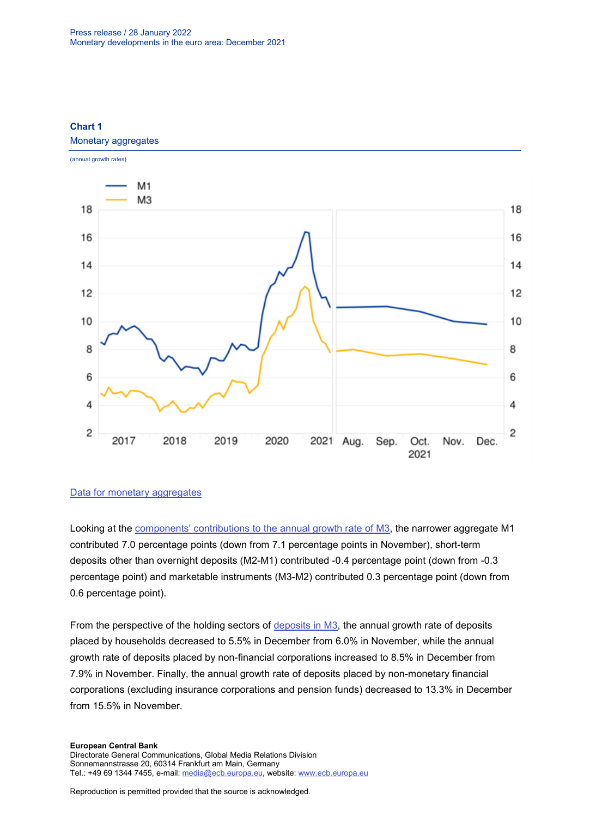

### **Chart 1**

Monetary aggregates

#### [Data for monetary aggregates](http://sdw.ecb.europa.eu/browseSelection.do?type=series&q=BSI.M.U2.Y.V.M30.X.I.U2.2300.Z01.A+BSI.M.U2.Y.V.M10.X.I.U2.2300.Z01.A&node=SEARCHRESULTS)

Looking at the [components' contributions to the annual growth rate of M3,](http://sdw.ecb.europa.eu/browseSelection.do?type=series&q=BSI.M.U2.Y.V.M10.X.Q.U2.2300.Z01.F+BSI.M.U2.Y.V.L2A.M.Q.U2.2300.Z01.F+BSI.M.U2.Y.V.LT3.L.Q.U2.2300.Z01.F&node=SEARCHRESULTS) the narrower aggregate M1 contributed 7.0 percentage points (down from 7.1 percentage points in November), short-term deposits other than overnight deposits (M2-M1) contributed -0.4 percentage point (down from -0.3 percentage point) and marketable instruments (M3-M2) contributed 0.3 percentage point (down from 0.6 percentage point).

From the perspective of the holding sectors of [deposits in M3,](http://sdw.ecb.europa.eu/browseSelection.do?type=series&q=BSI.M.U2.Y.V.L2C.M.I.U2.2250.Z01.A+BSI.M.U2.Y.V.L2C.M.I.U2.2240.Z01.A+BSI.M.U2.Y.V.L2C.M.I.U2.2210.Z01.A&node=SEARCHRESULTS) the annual growth rate of deposits placed by households decreased to 5.5% in December from 6.0% in November, while the annual growth rate of deposits placed by non-financial corporations increased to 8.5% in December from 7.9% in November. Finally, the annual growth rate of deposits placed by non-monetary financial corporations (excluding insurance corporations and pension funds) decreased to 13.3% in December from 15.5% in November.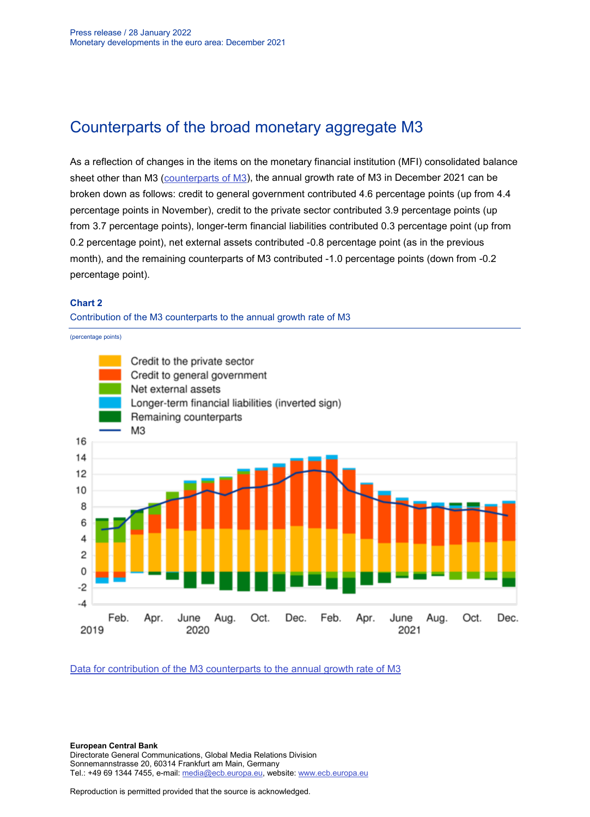## Counterparts of the broad monetary aggregate M3

As a reflection of changes in the items on the monetary financial institution (MFI) consolidated balance sheet other than M3 [\(counterparts of M3\)](http://sdw.ecb.europa.eu/browseSelection.do?type=series&q=BSI.M.U2.Y.V.M30.X.I.U2.2300.Z01.A+BSI.M.U2.Y.U.LT2.X.Q.Z5.0000.Z01.F+BSI.M.U2.Y.U.A80.A.Q.U4.0000.Z01.F+BSI.M.U2.Y.U.AT2.A.Q.U2.2100.Z01.F+BSI.M.U2.Y.U.AT2.A.Q.U2.2200.Z01.F+BSI.M.U2.Y.U.R31A.X.Q.Z5.0000.Z01.F&node=SEARCHRESULTS), the annual growth rate of M3 in December 2021 can be broken down as follows: credit to general government contributed 4.6 percentage points (up from 4.4 percentage points in November), credit to the private sector contributed 3.9 percentage points (up from 3.7 percentage points), longer-term financial liabilities contributed 0.3 percentage point (up from 0.2 percentage point), net external assets contributed -0.8 percentage point (as in the previous month), and the remaining counterparts of M3 contributed -1.0 percentage points (down from -0.2 percentage point).

#### **Chart 2**

#### Contribution of the M3 counterparts to the annual growth rate of M3



[Data for contribution of the M3 counterparts to the annual growth rate of M3](http://sdw.ecb.europa.eu/browseSelection.do?type=series&q=BSI.M.U2.Y.V.M30.X.I.U2.2300.Z01.A+BSI.M.U2.Y.U.LT2.X.Q.Z5.0000.Z01.F+BSI.M.U2.Y.U.A80.A.Q.U4.0000.Z01.F+BSI.M.U2.Y.U.AT2.A.Q.U2.2100.Z01.F+BSI.M.U2.Y.U.AT2.A.Q.U2.2200.Z01.F+BSI.M.U2.Y.U.R31A.X.Q.Z5.0000.Z01.F&node=SEARCHRESULTS)

#### **European Central Bank**

Directorate General Communications, Global Media Relations Division Sonnemannstrasse 20, 60314 Frankfurt am Main, Germany Tel.: +49 69 1344 7455, e-mail: [media@ecb.europa.eu,](mailto:media@ecb.europa.eu) website: [www.ecb.europa.eu](http://www.ecb.europa.eu/)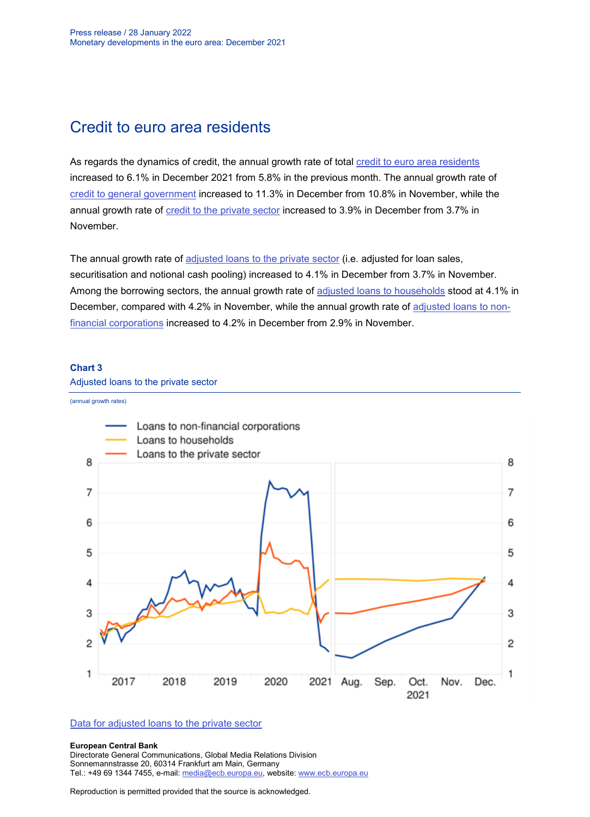### Credit to euro area residents

As regards the dynamics of credit, the annual growth rate of total [credit to euro area residents](http://sdw.ecb.europa.eu/browseSelection.do?type=series&q=BSI.M.U2.Y.U.AT2.A.I.U2.2000.Z01.A&node=SEARCHRESULTS) increased to 6.1% in December 2021 from 5.8% in the previous month. The annual growth rate of [credit to general government](http://sdw.ecb.europa.eu/browseSelection.do?type=series&q=BSI.M.U2.Y.U.AT2.A.I.U2.2100.Z01.A&node=SEARCHRESULTS) increased to 11.3% in December from 10.8% in November, while the annual growth rate of [credit to the private sector](http://sdw.ecb.europa.eu/browseSelection.do?type=series&q=BSI.M.U2.Y.U.AT2.A.I.U2.2200.Z01.A&node=SEARCHRESULTS) increased to 3.9% in December from 3.7% in November.

The annual growth rate of [adjusted loans to the private sector](http://sdw.ecb.europa.eu/browseSelection.do?type=series&q=BSI.M.U2.Y.U.A20TA.A.I.U2.2200.Z01.A&node=SEARCHRESULTS) (i.e. adjusted for loan sales, securitisation and notional cash pooling) increased to 4.1% in December from 3.7% in November. Among the borrowing sectors, the annual growth rate of [adjusted loans to households](http://sdw.ecb.europa.eu/browseSelection.do?type=series&q=BSI.M.U2.Y.U.A20T.A.I.U2.2250.Z01.A&node=SEARCHRESULTS) stood at 4.1% in December, compared with 4.2% in November, while the annual growth rate of [adjusted loans to non](http://sdw.ecb.europa.eu/browseSelection.do?type=series&q=BSI.M.U2.Y.U.A20T.A.I.U2.2240.Z01.A&node=SEARCHRESULTS)[financial corporations](http://sdw.ecb.europa.eu/browseSelection.do?type=series&q=BSI.M.U2.Y.U.A20T.A.I.U2.2240.Z01.A&node=SEARCHRESULTS) increased to 4.2% in December from 2.9% in November.

#### **Chart 3**

#### Adjusted loans to the private sector

(annual growth rates)



#### [Data for adjusted loans to the private sector](http://sdw.ecb.europa.eu/browseSelection.do?type=series&q=BSI.M.U2.Y.U.A20TA.A.I.U2.2200.Z01.A+BSI.M.U2.Y.U.A20T.A.I.U2.2250.Z01.A+BSI.M.U2.Y.U.A20T.A.I.U2.2240.Z01.A&node=SEARCHRESULTS)

#### **European Central Bank**

Directorate General Communications, Global Media Relations Division Sonnemannstrasse 20, 60314 Frankfurt am Main, Germany Tel.: +49 69 1344 7455, e-mail: [media@ecb.europa.eu,](mailto:media@ecb.europa.eu) website: [www.ecb.europa.eu](http://www.ecb.europa.eu/)

Reproduction is permitted provided that the source is acknowledged.